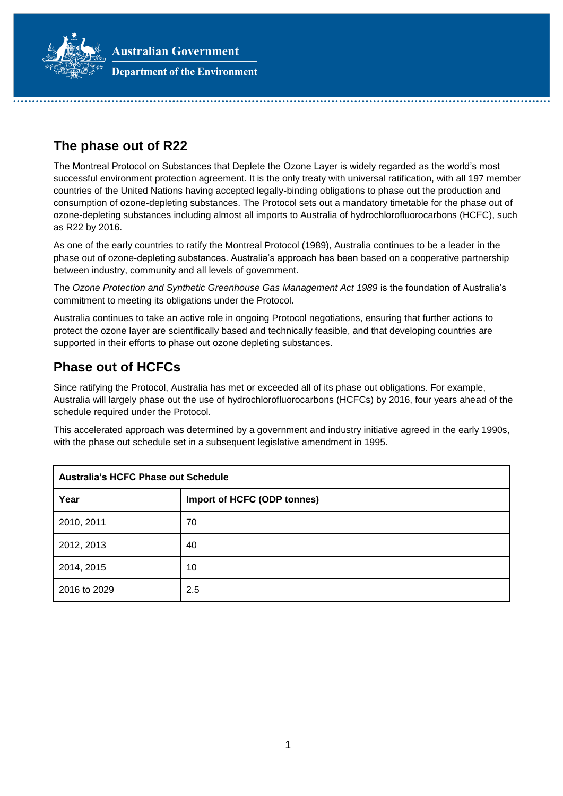**Australian Government** 



**Department of the Environment** 

# **The phase out of R22**

The Montreal Protocol on Substances that Deplete the Ozone Layer is widely regarded as the world's most successful environment protection agreement. It is the only treaty with universal ratification, with all 197 member countries of the United Nations having accepted legally-binding obligations to phase out the production and consumption of ozone-depleting substances. The Protocol sets out a mandatory timetable for the phase out of ozone-depleting substances including almost all imports to Australia of hydrochlorofluorocarbons (HCFC), such as R22 by 2016.

As one of the early countries to ratify the Montreal Protocol (1989), Australia continues to be a leader in the phase out of ozone-depleting substances. Australia's approach has been based on a cooperative partnership between industry, community and all levels of government.

The *Ozone Protection and Synthetic Greenhouse Gas Management Act 1989* is the foundation of Australia's commitment to meeting its obligations under the Protocol.

Australia continues to take an active role in ongoing Protocol negotiations, ensuring that further actions to protect the ozone layer are scientifically based and technically feasible, and that developing countries are supported in their efforts to phase out ozone depleting substances.

## **Phase out of HCFCs**

Since ratifying the Protocol, Australia has met or exceeded all of its phase out obligations. For example, Australia will largely phase out the use of hydrochlorofluorocarbons (HCFCs) by 2016, four years ahead of the schedule required under the Protocol.

This accelerated approach was determined by a government and industry initiative agreed in the early 1990s, with the phase out schedule set in a subsequent legislative amendment in 1995.

| <b>Australia's HCFC Phase out Schedule</b> |                             |  |
|--------------------------------------------|-----------------------------|--|
| Year                                       | Import of HCFC (ODP tonnes) |  |
| 2010, 2011                                 | 70                          |  |
| 2012, 2013                                 | 40                          |  |
| 2014, 2015                                 | 10                          |  |
| 2016 to 2029                               | 2.5                         |  |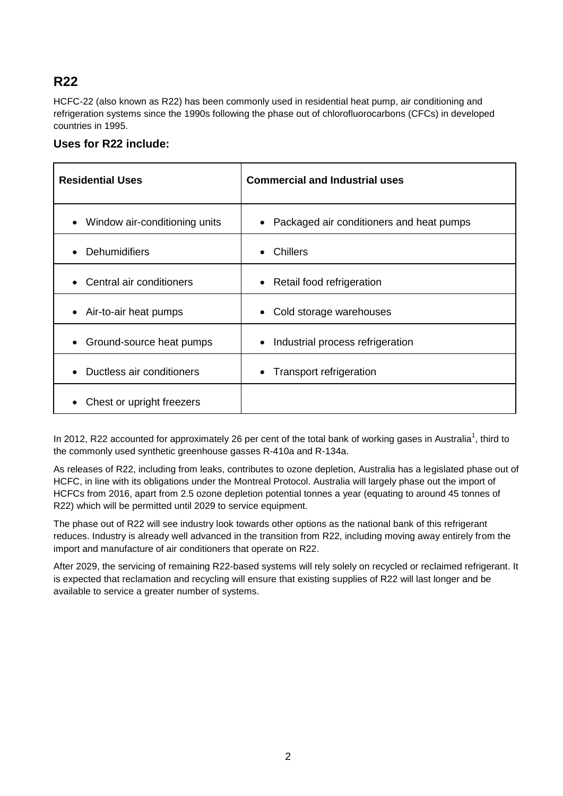# **R22**

HCFC-22 (also known as R22) has been commonly used in residential heat pump, air conditioning and refrigeration systems since the 1990s following the phase out of chlorofluorocarbons (CFCs) in developed countries in 1995.

#### **Uses for R22 include:**

| <b>Residential Uses</b>                    | <b>Commercial and Industrial uses</b>      |
|--------------------------------------------|--------------------------------------------|
| Window air-conditioning units<br>$\bullet$ | • Packaged air conditioners and heat pumps |
| <b>Dehumidifiers</b>                       | Chillers                                   |
| $\bullet$                                  | $\bullet$                                  |
| Central air conditioners                   | Retail food refrigeration                  |
| $\bullet$                                  | $\bullet$                                  |
| Air-to-air heat pumps                      | Cold storage warehouses                    |
| $\bullet$                                  | $\bullet$                                  |
| Ground-source heat pumps                   | Industrial process refrigeration           |
| $\bullet$                                  | $\bullet$                                  |
| Ductless air conditioners<br>$\bullet$     | • Transport refrigeration                  |
| Chest or upright freezers                  |                                            |

In 2012, R22 accounted for approximately 26 per cent of the total bank of working gases in Australia<sup>1</sup>, third to the commonly used synthetic greenhouse gasses R-410a and R-134a.

As releases of R22, including from leaks, contributes to ozone depletion, Australia has a legislated phase out of HCFC, in line with its obligations under the Montreal Protocol. Australia will largely phase out the import of HCFCs from 2016, apart from 2.5 ozone depletion potential tonnes a year (equating to around 45 tonnes of R22) which will be permitted until 2029 to service equipment.

The phase out of R22 will see industry look towards other options as the national bank of this refrigerant reduces. Industry is already well advanced in the transition from R22, including moving away entirely from the import and manufacture of air conditioners that operate on R22.

After 2029, the servicing of remaining R22-based systems will rely solely on recycled or reclaimed refrigerant. It is expected that reclamation and recycling will ensure that existing supplies of R22 will last longer and be available to service a greater number of systems.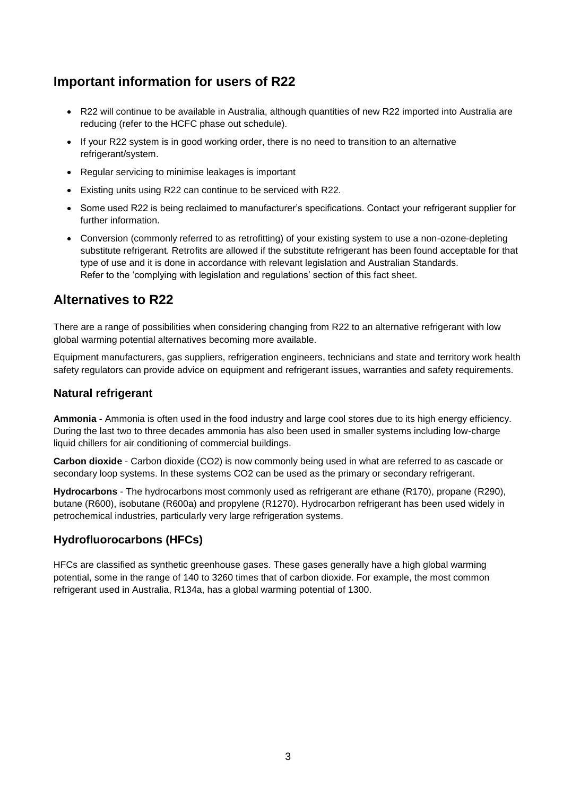# **Important information for users of R22**

- R22 will continue to be available in Australia, although quantities of new R22 imported into Australia are reducing (refer to the HCFC phase out schedule).
- If your R22 system is in good working order, there is no need to transition to an alternative refrigerant/system.
- Regular servicing to minimise leakages is important
- Existing units using R22 can continue to be serviced with R22.
- Some used R22 is being reclaimed to manufacturer's specifications. Contact your refrigerant supplier for further information.
- Conversion (commonly referred to as retrofitting) of your existing system to use a non-ozone-depleting substitute refrigerant. Retrofits are allowed if the substitute refrigerant has been found acceptable for that type of use and it is done in accordance with relevant legislation and Australian Standards. Refer to the 'complying with legislation and regulations' section of this fact sheet.

## **Alternatives to R22**

There are a range of possibilities when considering changing from R22 to an alternative refrigerant with low global warming potential alternatives becoming more available.

Equipment manufacturers, gas suppliers, refrigeration engineers, technicians and state and territory work health safety regulators can provide advice on equipment and refrigerant issues, warranties and safety requirements.

#### **Natural refrigerant**

**Ammonia** - Ammonia is often used in the food industry and large cool stores due to its high energy efficiency. During the last two to three decades ammonia has also been used in smaller systems including low-charge liquid chillers for air conditioning of commercial buildings.

**Carbon dioxide** - Carbon dioxide (CO2) is now commonly being used in what are referred to as cascade or secondary loop systems. In these systems CO2 can be used as the primary or secondary refrigerant.

**Hydrocarbons** - The hydrocarbons most commonly used as refrigerant are ethane (R170), propane (R290), butane (R600), isobutane (R600a) and propylene (R1270). Hydrocarbon refrigerant has been used widely in petrochemical industries, particularly very large refrigeration systems.

### **Hydrofluorocarbons (HFCs)**

HFCs are classified as synthetic greenhouse gases. These gases generally have a high global warming potential, some in the range of 140 to 3260 times that of carbon dioxide. For example, the most common refrigerant used in Australia, R134a, has a global warming potential of 1300.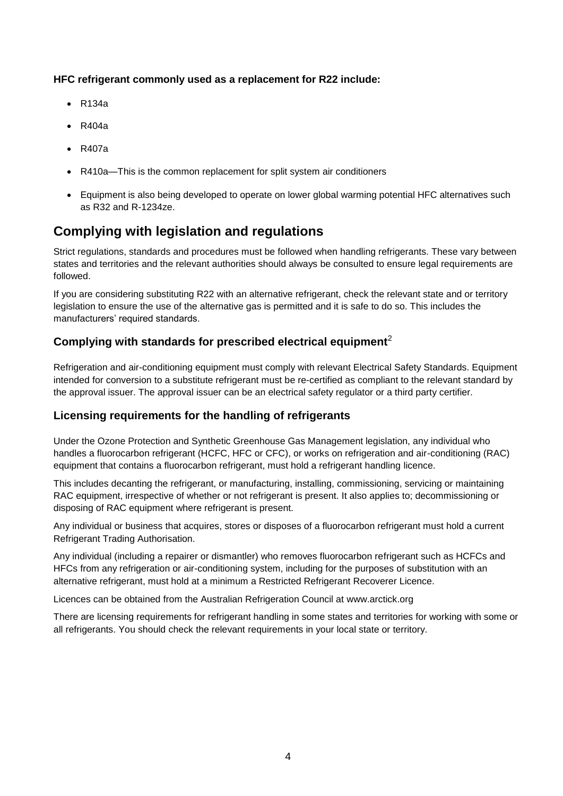#### **HFC refrigerant commonly used as a replacement for R22 include:**

- R134a
- $R404a$
- R407a
- R410a—This is the common replacement for split system air conditioners
- Equipment is also being developed to operate on lower global warming potential HFC alternatives such as R32 and R-1234ze.

# **Complying with legislation and regulations**

Strict regulations, standards and procedures must be followed when handling refrigerants. These vary between states and territories and the relevant authorities should always be consulted to ensure legal requirements are followed.

If you are considering substituting R22 with an alternative refrigerant, check the relevant state and or territory legislation to ensure the use of the alternative gas is permitted and it is safe to do so. This includes the manufacturers' required standards.

### **Complying with standards for prescribed electrical equipment**<sup>2</sup>

Refrigeration and air-conditioning equipment must comply with relevant Electrical Safety Standards. Equipment intended for conversion to a substitute refrigerant must be re-certified as compliant to the relevant standard by the approval issuer. The approval issuer can be an electrical safety regulator or a third party certifier.

### **Licensing requirements for the handling of refrigerants**

Under the Ozone Protection and Synthetic Greenhouse Gas Management legislation, any individual who handles a fluorocarbon refrigerant (HCFC, HFC or CFC), or works on refrigeration and air-conditioning (RAC) equipment that contains a fluorocarbon refrigerant, must hold a refrigerant handling licence.

This includes decanting the refrigerant, or manufacturing, installing, commissioning, servicing or maintaining RAC equipment, irrespective of whether or not refrigerant is present. It also applies to; decommissioning or disposing of RAC equipment where refrigerant is present.

Any individual or business that acquires, stores or disposes of a fluorocarbon refrigerant must hold a current Refrigerant Trading Authorisation.

Any individual (including a repairer or dismantler) who removes fluorocarbon refrigerant such as HCFCs and HFCs from any refrigeration or air-conditioning system, including for the purposes of substitution with an alternative refrigerant, must hold at a minimum a Restricted Refrigerant Recoverer Licence.

Licences can be obtained from the Australian Refrigeration Council at [www.arctick.org](http://www.arctick.org/)

There are licensing requirements for refrigerant handling in some states and territories for working with some or all refrigerants. You should check the relevant requirements in your local state or territory.